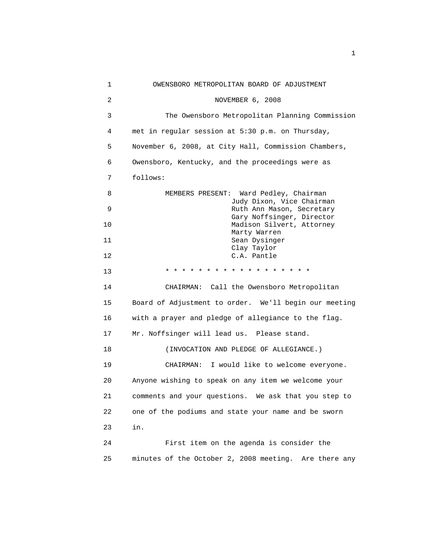1 OWENSBORO METROPOLITAN BOARD OF ADJUSTMENT 2 NOVEMBER 6, 2008 3 The Owensboro Metropolitan Planning Commission 4 met in regular session at 5:30 p.m. on Thursday, 5 November 6, 2008, at City Hall, Commission Chambers, 6 Owensboro, Kentucky, and the proceedings were as 7 follows: 8 MEMBERS PRESENT: Ward Pedley, Chairman Judy Dixon, Vice Chairman 9 Ruth Ann Mason, Secretary Gary Noffsinger, Director 10 Madison Silvert, Attorney Marty Warren 11 Sean Dysinger Clay Taylor 12 C.A. Pantle 13 **\* \* \* \* \* \* \* \* \* \* \* \* \* \* \* \***  14 CHAIRMAN: Call the Owensboro Metropolitan 15 Board of Adjustment to order. We'll begin our meeting 16 with a prayer and pledge of allegiance to the flag. 17 Mr. Noffsinger will lead us. Please stand. 18 (INVOCATION AND PLEDGE OF ALLEGIANCE.) 19 CHAIRMAN: I would like to welcome everyone. 20 Anyone wishing to speak on any item we welcome your 21 comments and your questions. We ask that you step to 22 one of the podiums and state your name and be sworn 23 in. 24 First item on the agenda is consider the 25 minutes of the October 2, 2008 meeting. Are there any

the contract of the contract of the contract of the contract of the contract of the contract of the contract of the contract of the contract of the contract of the contract of the contract of the contract of the contract o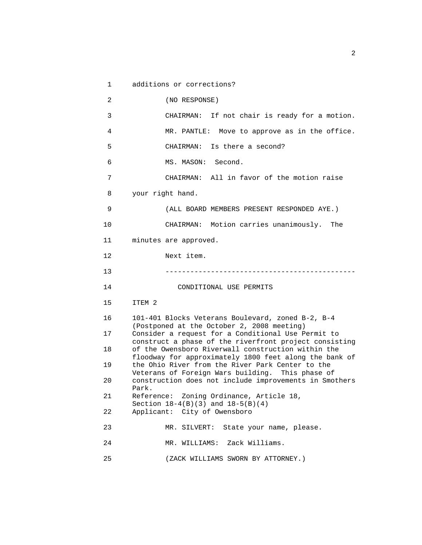```
 1 additions or corrections? 
 2 (NO RESPONSE) 
 3 CHAIRMAN: If not chair is ready for a motion. 
 4 MR. PANTLE: Move to approve as in the office. 
 5 CHAIRMAN: Is there a second? 
 6 MS. MASON: Second. 
 7 CHAIRMAN: All in favor of the motion raise 
 8 your right hand. 
 9 (ALL BOARD MEMBERS PRESENT RESPONDED AYE.) 
10 CHAIRMAN: Motion carries unanimously. The 
11 minutes are approved. 
12 Next item. 
13 ---------------------------------------------- 
14 CONDITIONAL USE PERMITS 
15 ITEM 2 
16 101-401 Blocks Veterans Boulevard, zoned B-2, B-4 
      (Postponed at the October 2, 2008 meeting) 
17 Consider a request for a Conditional Use Permit to 
      construct a phase of the riverfront project consisting 
18 of the Owensboro Riverwall construction within the 
      floodway for approximately 1800 feet along the bank of 
19 the Ohio River from the River Park Center to the 
      Veterans of Foreign Wars building. This phase of 
20 construction does not include improvements in Smothers 
      Park. 
21 Reference: Zoning Ordinance, Article 18, 
      Section 18-4(B)(3) and 18-5(B)(4) 
22 Applicant: City of Owensboro 
23 MR. SILVERT: State your name, please. 
24 MR. WILLIAMS: Zack Williams. 
25 (ZACK WILLIAMS SWORN BY ATTORNEY.)
```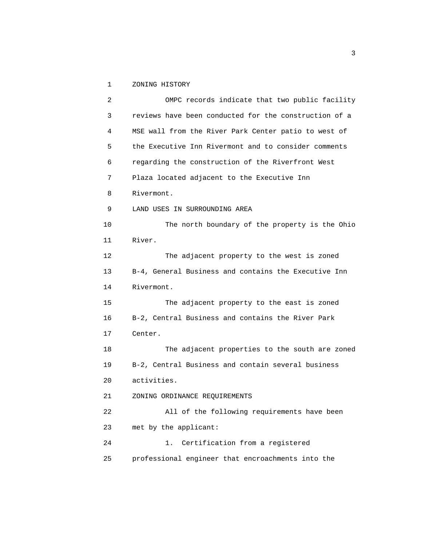1 ZONING HISTORY

| $\overline{2}$ | OMPC records indicate that two public facility        |
|----------------|-------------------------------------------------------|
| 3              | reviews have been conducted for the construction of a |
| 4              | MSE wall from the River Park Center patio to west of  |
| 5              | the Executive Inn Rivermont and to consider comments  |
| 6              | regarding the construction of the Riverfront West     |
| 7              | Plaza located adjacent to the Executive Inn           |
| 8              | Rivermont.                                            |
| 9              | LAND USES IN SURROUNDING AREA                         |
| 10             | The north boundary of the property is the Ohio        |
| 11             | River.                                                |
| 12             | The adjacent property to the west is zoned            |
| 13             | B-4, General Business and contains the Executive Inn  |
| 14             | Rivermont.                                            |
| 15             | The adjacent property to the east is zoned            |
| 16             | B-2, Central Business and contains the River Park     |
| 17             | Center.                                               |
| 18             | The adjacent properties to the south are zoned        |
| 19             | B-2, Central Business and contain several business    |
| 20             | activities.                                           |
| 21             | ZONING ORDINANCE REQUIREMENTS                         |
| 22             | All of the following requirements have been           |
| 23             | met by the applicant:                                 |
| 24             | Certification from a registered<br>1.                 |
| 25             | professional engineer that encroachments into the     |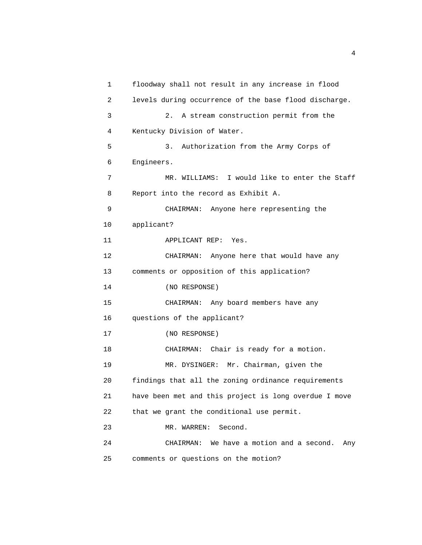```
 1 floodway shall not result in any increase in flood 
2 levels during occurrence of the base flood discharge. 
3 2. A stream construction permit from the 
4 Kentucky Division of Water. 
5 3. Authorization from the Army Corps of 
6 Engineers. 
7 MR. WILLIAMS: I would like to enter the Staff 
8 Report into the record as Exhibit A. 
9 CHAIRMAN: Anyone here representing the 
10 applicant? 
11 APPLICANT REP: Yes. 
12 CHAIRMAN: Anyone here that would have any 
13 comments or opposition of this application? 
14 (NO RESPONSE) 
15 CHAIRMAN: Any board members have any 
16 questions of the applicant? 
17 (NO RESPONSE) 
18 CHAIRMAN: Chair is ready for a motion. 
19 MR. DYSINGER: Mr. Chairman, given the 
20 findings that all the zoning ordinance requirements 
21 have been met and this project is long overdue I move 
22 that we grant the conditional use permit. 
23 MR. WARREN: Second. 
24 CHAIRMAN: We have a motion and a second. Any 
25 comments or questions on the motion?
```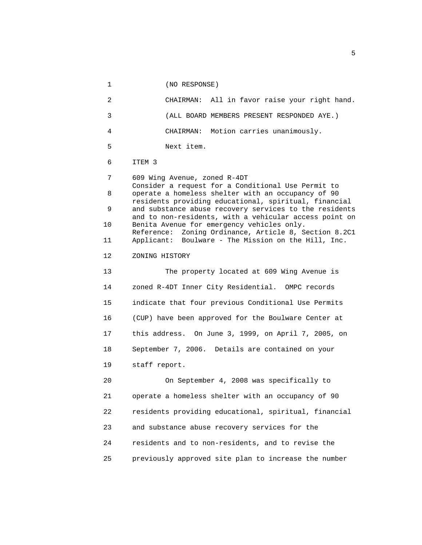1 (NO RESPONSE) 2 CHAIRMAN: All in favor raise your right hand. 3 (ALL BOARD MEMBERS PRESENT RESPONDED AYE.) 4 CHAIRMAN: Motion carries unanimously. 5 Next item. 6 ITEM 3 7 609 Wing Avenue, zoned R-4DT Consider a request for a Conditional Use Permit to 8 operate a homeless shelter with an occupancy of 90 residents providing educational, spiritual, financial 9 and substance abuse recovery services to the residents and to non-residents, with a vehicular access point on 10 Benita Avenue for emergency vehicles only. Reference: Zoning Ordinance, Article 8, Section 8.2C1 11 Applicant: Boulware - The Mission on the Hill, Inc. 12 ZONING HISTORY 13 The property located at 609 Wing Avenue is 14 zoned R-4DT Inner City Residential. OMPC records 15 indicate that four previous Conditional Use Permits 16 (CUP) have been approved for the Boulware Center at 17 this address. On June 3, 1999, on April 7, 2005, on 18 September 7, 2006. Details are contained on your 19 staff report. 20 On September 4, 2008 was specifically to 21 operate a homeless shelter with an occupancy of 90 22 residents providing educational, spiritual, financial 23 and substance abuse recovery services for the 24 residents and to non-residents, and to revise the 25 previously approved site plan to increase the number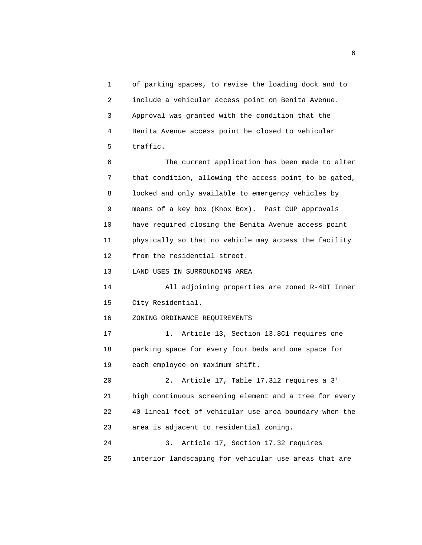1 of parking spaces, to revise the loading dock and to 2 include a vehicular access point on Benita Avenue. 3 Approval was granted with the condition that the 4 Benita Avenue access point be closed to vehicular 5 traffic.

 6 The current application has been made to alter 7 that condition, allowing the access point to be gated, 8 locked and only available to emergency vehicles by 9 means of a key box (Knox Box). Past CUP approvals 10 have required closing the Benita Avenue access point 11 physically so that no vehicle may access the facility 12 from the residential street.

13 LAND USES IN SURROUNDING AREA

 14 All adjoining properties are zoned R-4DT Inner 15 City Residential.

## 16 ZONING ORDINANCE REQUIREMENTS

 17 1. Article 13, Section 13.8C1 requires one 18 parking space for every four beds and one space for 19 each employee on maximum shift.

 20 2. Article 17, Table 17.312 requires a 3' 21 high continuous screening element and a tree for every 22 40 lineal feet of vehicular use area boundary when the 23 area is adjacent to residential zoning.

 24 3. Article 17, Section 17.32 requires 25 interior landscaping for vehicular use areas that are

 $\sim$  6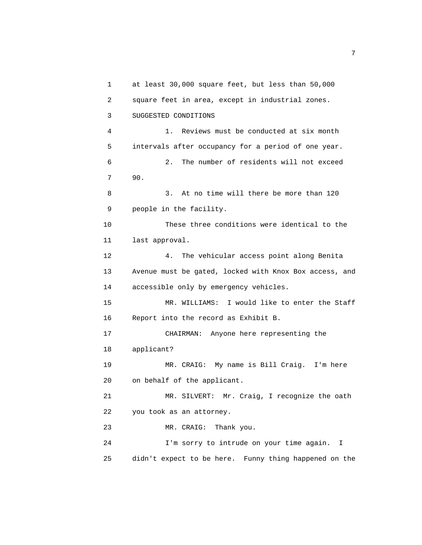1 at least 30,000 square feet, but less than 50,000 2 square feet in area, except in industrial zones. 3 SUGGESTED CONDITIONS 4 1. Reviews must be conducted at six month 5 intervals after occupancy for a period of one year. 6 2. The number of residents will not exceed 7 90. 8 3. At no time will there be more than 120 9 people in the facility. 10 These three conditions were identical to the 11 last approval. 12 4. The vehicular access point along Benita 13 Avenue must be gated, locked with Knox Box access, and 14 accessible only by emergency vehicles. 15 MR. WILLIAMS: I would like to enter the Staff 16 Report into the record as Exhibit B. 17 CHAIRMAN: Anyone here representing the 18 applicant? 19 MR. CRAIG: My name is Bill Craig. I'm here 20 on behalf of the applicant. 21 MR. SILVERT: Mr. Craig, I recognize the oath 22 you took as an attorney. 23 MR. CRAIG: Thank you. 24 I'm sorry to intrude on your time again. I 25 didn't expect to be here. Funny thing happened on the

<u>2</u> The contract of the contract of the contract of the contract of the contract of the contract of the contract of the contract of the contract of the contract of the contract of the contract of the contract of the contra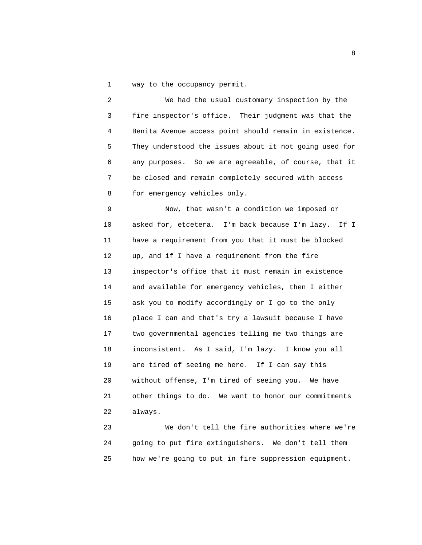1 way to the occupancy permit.

 2 We had the usual customary inspection by the 3 fire inspector's office. Their judgment was that the 4 Benita Avenue access point should remain in existence. 5 They understood the issues about it not going used for 6 any purposes. So we are agreeable, of course, that it 7 be closed and remain completely secured with access 8 for emergency vehicles only.

 9 Now, that wasn't a condition we imposed or 10 asked for, etcetera. I'm back because I'm lazy. If I 11 have a requirement from you that it must be blocked 12 up, and if I have a requirement from the fire 13 inspector's office that it must remain in existence 14 and available for emergency vehicles, then I either 15 ask you to modify accordingly or I go to the only 16 place I can and that's try a lawsuit because I have 17 two governmental agencies telling me two things are 18 inconsistent. As I said, I'm lazy. I know you all 19 are tired of seeing me here. If I can say this 20 without offense, I'm tired of seeing you. We have 21 other things to do. We want to honor our commitments 22 always.

 23 We don't tell the fire authorities where we're 24 going to put fire extinguishers. We don't tell them 25 how we're going to put in fire suppression equipment.

experience of the state of the state of the state of the state of the state of the state of the state of the s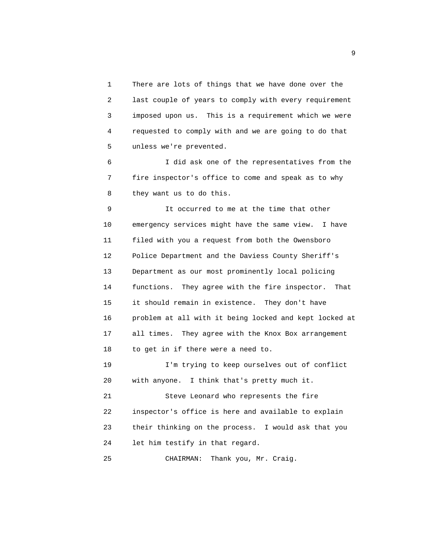1 There are lots of things that we have done over the 2 last couple of years to comply with every requirement 3 imposed upon us. This is a requirement which we were 4 requested to comply with and we are going to do that 5 unless we're prevented.

 6 I did ask one of the representatives from the 7 fire inspector's office to come and speak as to why 8 they want us to do this.

 9 It occurred to me at the time that other 10 emergency services might have the same view. I have 11 filed with you a request from both the Owensboro 12 Police Department and the Daviess County Sheriff's 13 Department as our most prominently local policing 14 functions. They agree with the fire inspector. That 15 it should remain in existence. They don't have 16 problem at all with it being locked and kept locked at 17 all times. They agree with the Knox Box arrangement 18 to get in if there were a need to.

 19 I'm trying to keep ourselves out of conflict 20 with anyone. I think that's pretty much it.

 21 Steve Leonard who represents the fire 22 inspector's office is here and available to explain 23 their thinking on the process. I would ask that you 24 let him testify in that regard.

25 CHAIRMAN: Thank you, Mr. Craig.

experience of the state of the state of the state of the state of the state of the state of the state of the s<br>The state of the state of the state of the state of the state of the state of the state of the state of the st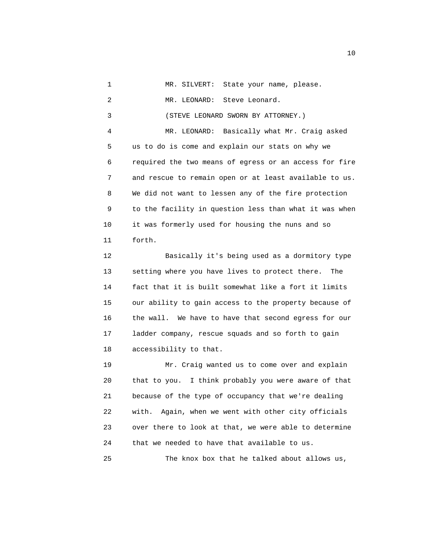1 MR. SILVERT: State your name, please. 2 MR. LEONARD: Steve Leonard. 3 (STEVE LEONARD SWORN BY ATTORNEY.) 4 MR. LEONARD: Basically what Mr. Craig asked 5 us to do is come and explain our stats on why we 6 required the two means of egress or an access for fire 7 and rescue to remain open or at least available to us. 8 We did not want to lessen any of the fire protection 9 to the facility in question less than what it was when 10 it was formerly used for housing the nuns and so 11 forth.

 12 Basically it's being used as a dormitory type 13 setting where you have lives to protect there. The 14 fact that it is built somewhat like a fort it limits 15 our ability to gain access to the property because of 16 the wall. We have to have that second egress for our 17 ladder company, rescue squads and so forth to gain 18 accessibility to that.

 19 Mr. Craig wanted us to come over and explain 20 that to you. I think probably you were aware of that 21 because of the type of occupancy that we're dealing 22 with. Again, when we went with other city officials 23 over there to look at that, we were able to determine 24 that we needed to have that available to us. 25 The knox box that he talked about allows us,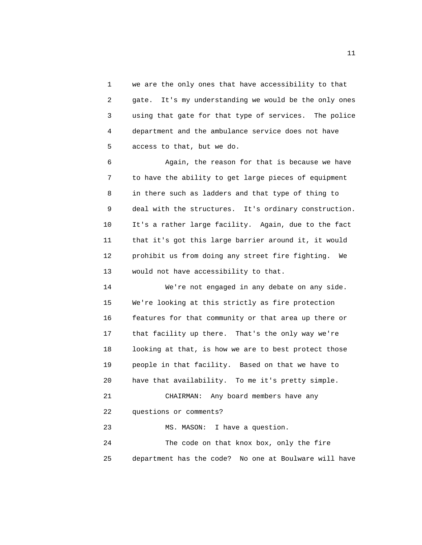1 we are the only ones that have accessibility to that 2 gate. It's my understanding we would be the only ones 3 using that gate for that type of services. The police 4 department and the ambulance service does not have 5 access to that, but we do.

 6 Again, the reason for that is because we have 7 to have the ability to get large pieces of equipment 8 in there such as ladders and that type of thing to 9 deal with the structures. It's ordinary construction. 10 It's a rather large facility. Again, due to the fact 11 that it's got this large barrier around it, it would 12 prohibit us from doing any street fire fighting. We 13 would not have accessibility to that.

 14 We're not engaged in any debate on any side. 15 We're looking at this strictly as fire protection 16 features for that community or that area up there or 17 that facility up there. That's the only way we're 18 looking at that, is how we are to best protect those 19 people in that facility. Based on that we have to 20 have that availability. To me it's pretty simple. 21 CHAIRMAN: Any board members have any 22 questions or comments? 23 MS. MASON: I have a question. 24 The code on that knox box, only the fire

25 department has the code? No one at Boulware will have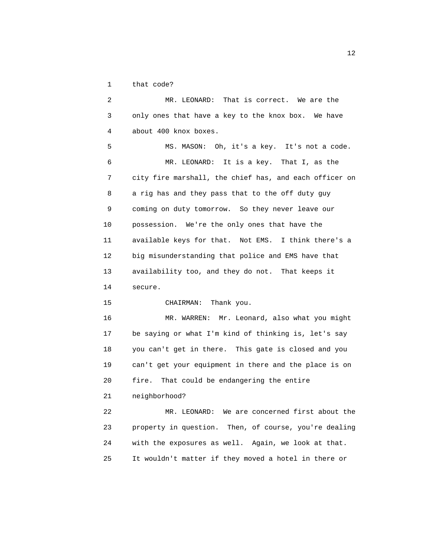1 that code?

 2 MR. LEONARD: That is correct. We are the 3 only ones that have a key to the knox box. We have 4 about 400 knox boxes. 5 MS. MASON: Oh, it's a key. It's not a code. 6 MR. LEONARD: It is a key. That I, as the 7 city fire marshall, the chief has, and each officer on 8 a rig has and they pass that to the off duty guy 9 coming on duty tomorrow. So they never leave our 10 possession. We're the only ones that have the 11 available keys for that. Not EMS. I think there's a 12 big misunderstanding that police and EMS have that 13 availability too, and they do not. That keeps it 14 secure. 15 CHAIRMAN: Thank you. 16 MR. WARREN: Mr. Leonard, also what you might 17 be saying or what I'm kind of thinking is, let's say 18 you can't get in there. This gate is closed and you 19 can't get your equipment in there and the place is on 20 fire. That could be endangering the entire 21 neighborhood? 22 MR. LEONARD: We are concerned first about the 23 property in question. Then, of course, you're dealing

24 with the exposures as well. Again, we look at that.

25 It wouldn't matter if they moved a hotel in there or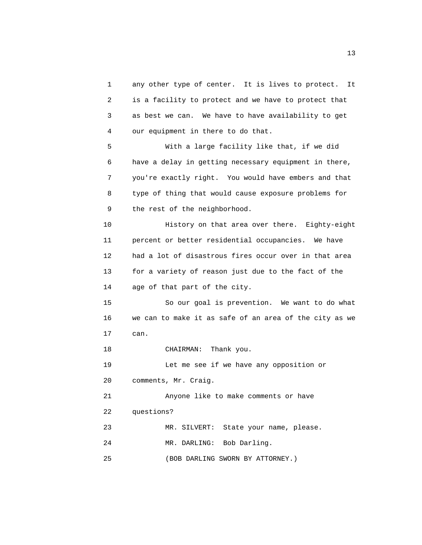1 any other type of center. It is lives to protect. It 2 is a facility to protect and we have to protect that 3 as best we can. We have to have availability to get 4 our equipment in there to do that. 5 With a large facility like that, if we did 6 have a delay in getting necessary equipment in there, 7 you're exactly right. You would have embers and that 8 type of thing that would cause exposure problems for 9 the rest of the neighborhood. 10 History on that area over there. Eighty-eight 11 percent or better residential occupancies. We have 12 had a lot of disastrous fires occur over in that area 13 for a variety of reason just due to the fact of the 14 age of that part of the city. 15 So our goal is prevention. We want to do what 16 we can to make it as safe of an area of the city as we 17 can. 18 CHAIRMAN: Thank you. 19 Let me see if we have any opposition or 20 comments, Mr. Craig. 21 Anyone like to make comments or have 22 questions? 23 MR. SILVERT: State your name, please. 24 MR. DARLING: Bob Darling. 25 (BOB DARLING SWORN BY ATTORNEY.)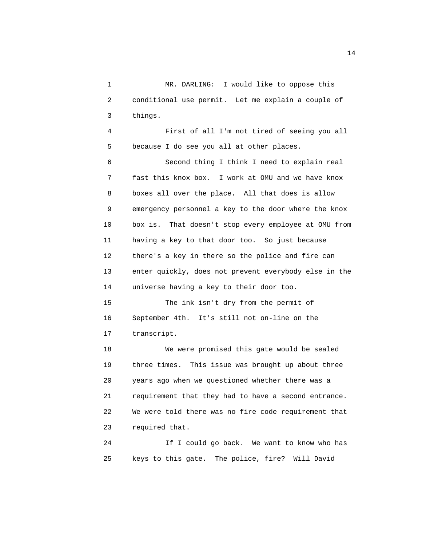1 MR. DARLING: I would like to oppose this 2 conditional use permit. Let me explain a couple of 3 things.

 4 First of all I'm not tired of seeing you all 5 because I do see you all at other places.

 6 Second thing I think I need to explain real 7 fast this knox box. I work at OMU and we have knox 8 boxes all over the place. All that does is allow 9 emergency personnel a key to the door where the knox 10 box is. That doesn't stop every employee at OMU from 11 having a key to that door too. So just because 12 there's a key in there so the police and fire can 13 enter quickly, does not prevent everybody else in the 14 universe having a key to their door too.

 15 The ink isn't dry from the permit of 16 September 4th. It's still not on-line on the 17 transcript.

 18 We were promised this gate would be sealed 19 three times. This issue was brought up about three 20 years ago when we questioned whether there was a 21 requirement that they had to have a second entrance. 22 We were told there was no fire code requirement that 23 required that.

 24 If I could go back. We want to know who has 25 keys to this gate. The police, fire? Will David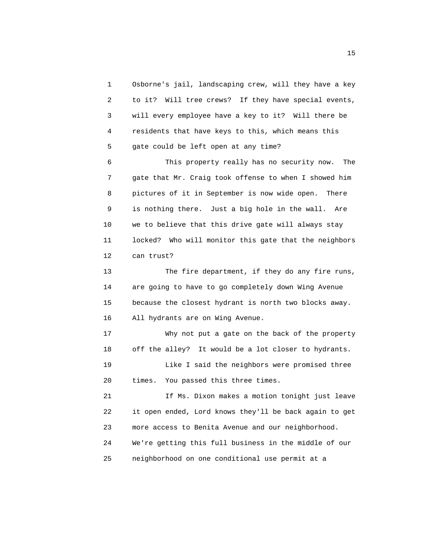1 Osborne's jail, landscaping crew, will they have a key 2 to it? Will tree crews? If they have special events, 3 will every employee have a key to it? Will there be 4 residents that have keys to this, which means this 5 gate could be left open at any time?

 6 This property really has no security now. The 7 gate that Mr. Craig took offense to when I showed him 8 pictures of it in September is now wide open. There 9 is nothing there. Just a big hole in the wall. Are 10 we to believe that this drive gate will always stay 11 locked? Who will monitor this gate that the neighbors 12 can trust?

 13 The fire department, if they do any fire runs, 14 are going to have to go completely down Wing Avenue 15 because the closest hydrant is north two blocks away. 16 All hydrants are on Wing Avenue.

 17 Why not put a gate on the back of the property 18 off the alley? It would be a lot closer to hydrants. 19 Like I said the neighbors were promised three 20 times. You passed this three times.

 21 If Ms. Dixon makes a motion tonight just leave 22 it open ended, Lord knows they'll be back again to get 23 more access to Benita Avenue and our neighborhood. 24 We're getting this full business in the middle of our 25 neighborhood on one conditional use permit at a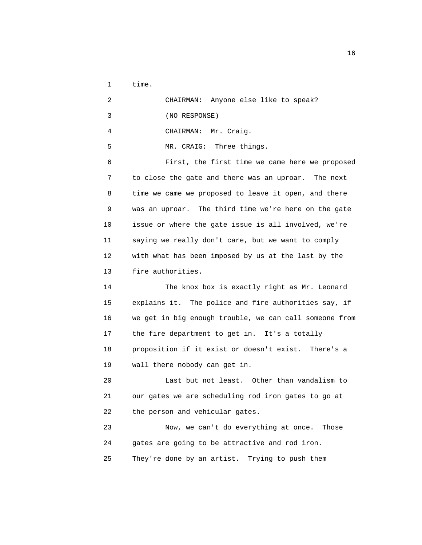1 time.

| 2               | CHAIRMAN: Anyone else like to speak?                 |
|-----------------|------------------------------------------------------|
| 3               | (NO RESPONSE)                                        |
| 4               | CHAIRMAN: Mr. Craig.                                 |
| 5               | MR. CRAIG: Three things.                             |
| 6               | First, the first time we came here we proposed       |
| 7               | to close the gate and there was an uproar. The next  |
| 8               | time we came we proposed to leave it open, and there |
| 9               | was an uproar. The third time we're here on the gate |
| 10              | issue or where the gate issue is all involved, we're |
| 11              | saying we really don't care, but we want to comply   |
| 12 <sup>°</sup> | with what has been imposed by us at the last by the  |
| 13              | fire authorities.                                    |

 14 The knox box is exactly right as Mr. Leonard 15 explains it. The police and fire authorities say, if 16 we get in big enough trouble, we can call someone from 17 the fire department to get in. It's a totally 18 proposition if it exist or doesn't exist. There's a 19 wall there nobody can get in.

 20 Last but not least. Other than vandalism to 21 our gates we are scheduling rod iron gates to go at 22 the person and vehicular gates.

 23 Now, we can't do everything at once. Those 24 gates are going to be attractive and rod iron. 25 They're done by an artist. Trying to push them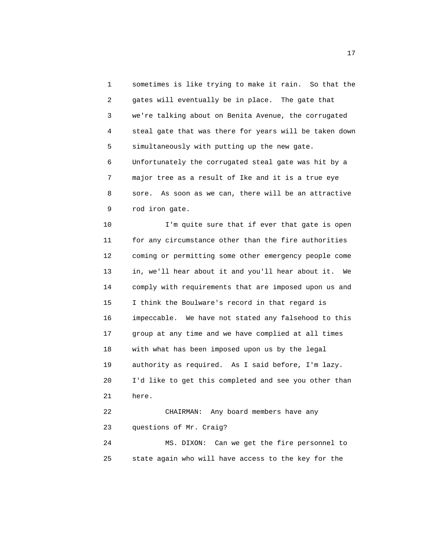1 sometimes is like trying to make it rain. So that the 2 gates will eventually be in place. The gate that 3 we're talking about on Benita Avenue, the corrugated 4 steal gate that was there for years will be taken down 5 simultaneously with putting up the new gate. 6 Unfortunately the corrugated steal gate was hit by a 7 major tree as a result of Ike and it is a true eye 8 sore. As soon as we can, there will be an attractive 9 rod iron gate.

 10 I'm quite sure that if ever that gate is open 11 for any circumstance other than the fire authorities 12 coming or permitting some other emergency people come 13 in, we'll hear about it and you'll hear about it. We 14 comply with requirements that are imposed upon us and 15 I think the Boulware's record in that regard is 16 impeccable. We have not stated any falsehood to this 17 group at any time and we have complied at all times 18 with what has been imposed upon us by the legal 19 authority as required. As I said before, I'm lazy. 20 I'd like to get this completed and see you other than 21 here. 22 CHAIRMAN: Any board members have any 23 questions of Mr. Craig? 24 MS. DIXON: Can we get the fire personnel to

25 state again who will have access to the key for the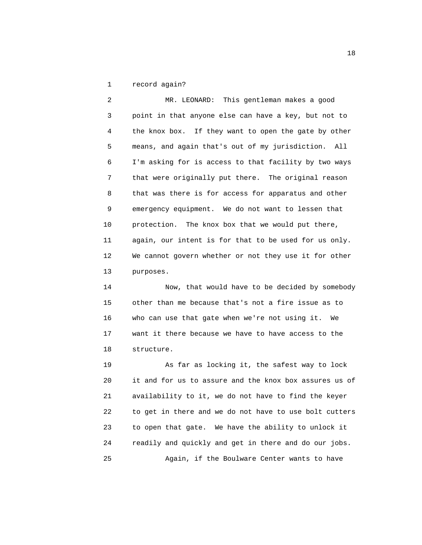1 record again?

 2 MR. LEONARD: This gentleman makes a good 3 point in that anyone else can have a key, but not to 4 the knox box. If they want to open the gate by other 5 means, and again that's out of my jurisdiction. All 6 I'm asking for is access to that facility by two ways 7 that were originally put there. The original reason 8 that was there is for access for apparatus and other 9 emergency equipment. We do not want to lessen that 10 protection. The knox box that we would put there, 11 again, our intent is for that to be used for us only. 12 We cannot govern whether or not they use it for other 13 purposes.

 14 Now, that would have to be decided by somebody 15 other than me because that's not a fire issue as to 16 who can use that gate when we're not using it. We 17 want it there because we have to have access to the 18 structure.

 19 As far as locking it, the safest way to lock 20 it and for us to assure and the knox box assures us of 21 availability to it, we do not have to find the keyer 22 to get in there and we do not have to use bolt cutters 23 to open that gate. We have the ability to unlock it 24 readily and quickly and get in there and do our jobs. 25 Again, if the Boulware Center wants to have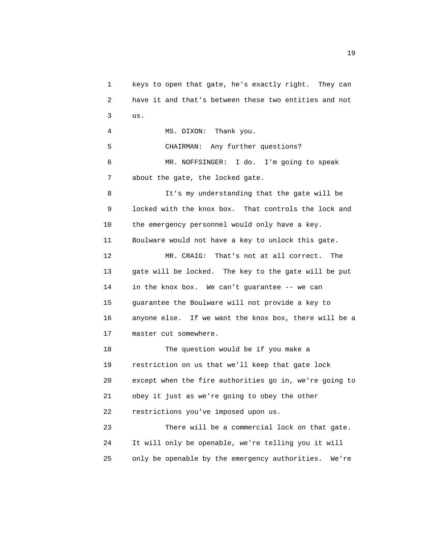1 keys to open that gate, he's exactly right. They can 2 have it and that's between these two entities and not 3 us. 4 MS. DIXON: Thank you. 5 CHAIRMAN: Any further questions? 6 MR. NOFFSINGER: I do. I'm going to speak 7 about the gate, the locked gate. 8 It's my understanding that the gate will be 9 locked with the knox box. That controls the lock and 10 the emergency personnel would only have a key. 11 Boulware would not have a key to unlock this gate. 12 MR. CRAIG: That's not at all correct. The 13 gate will be locked. The key to the gate will be put 14 in the knox box. We can't guarantee -- we can 15 guarantee the Boulware will not provide a key to 16 anyone else. If we want the knox box, there will be a 17 master cut somewhere. 18 The question would be if you make a 19 restriction on us that we'll keep that gate lock 20 except when the fire authorities go in, we're going to 21 obey it just as we're going to obey the other 22 restrictions you've imposed upon us. 23 There will be a commercial lock on that gate. 24 It will only be openable, we're telling you it will 25 only be openable by the emergency authorities. We're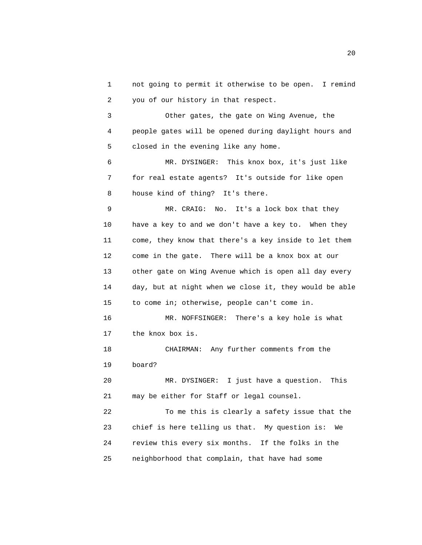1 not going to permit it otherwise to be open. I remind 2 you of our history in that respect.

 3 Other gates, the gate on Wing Avenue, the 4 people gates will be opened during daylight hours and 5 closed in the evening like any home.

 6 MR. DYSINGER: This knox box, it's just like 7 for real estate agents? It's outside for like open 8 house kind of thing? It's there.

 9 MR. CRAIG: No. It's a lock box that they 10 have a key to and we don't have a key to. When they 11 come, they know that there's a key inside to let them 12 come in the gate. There will be a knox box at our 13 other gate on Wing Avenue which is open all day every 14 day, but at night when we close it, they would be able 15 to come in; otherwise, people can't come in. 16 MR. NOFFSINGER: There's a key hole is what 17 the knox box is. 18 CHAIRMAN: Any further comments from the 19 board? 20 MR. DYSINGER: I just have a question. This 21 may be either for Staff or legal counsel. 22 To me this is clearly a safety issue that the

 23 chief is here telling us that. My question is: We 24 review this every six months. If the folks in the 25 neighborhood that complain, that have had some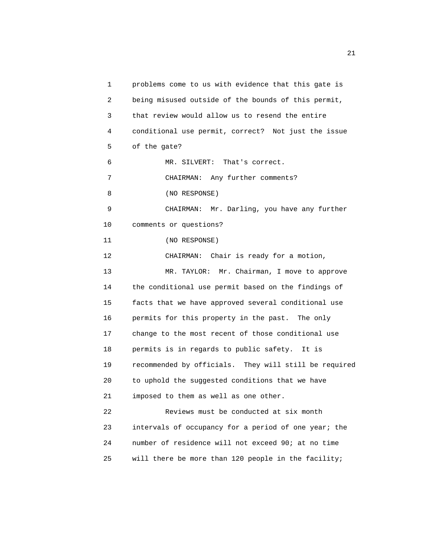1 problems come to us with evidence that this gate is 2 being misused outside of the bounds of this permit, 3 that review would allow us to resend the entire 4 conditional use permit, correct? Not just the issue 5 of the gate? 6 MR. SILVERT: That's correct. 7 CHAIRMAN: Any further comments? 8 (NO RESPONSE) 9 CHAIRMAN: Mr. Darling, you have any further 10 comments or questions? 11 (NO RESPONSE) 12 CHAIRMAN: Chair is ready for a motion, 13 MR. TAYLOR: Mr. Chairman, I move to approve 14 the conditional use permit based on the findings of 15 facts that we have approved several conditional use 16 permits for this property in the past. The only 17 change to the most recent of those conditional use 18 permits is in regards to public safety. It is 19 recommended by officials. They will still be required 20 to uphold the suggested conditions that we have 21 imposed to them as well as one other. 22 Reviews must be conducted at six month 23 intervals of occupancy for a period of one year; the 24 number of residence will not exceed 90; at no time 25 will there be more than 120 people in the facility;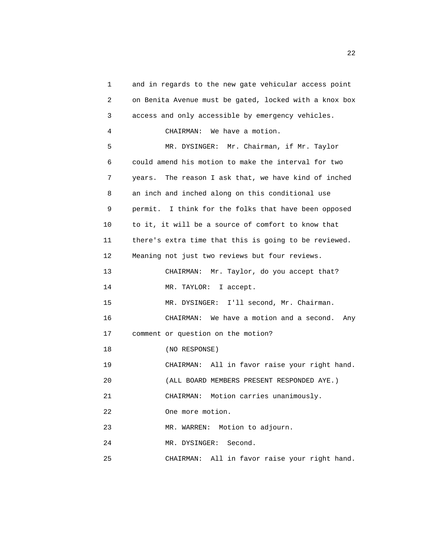1 and in regards to the new gate vehicular access point 2 on Benita Avenue must be gated, locked with a knox box 3 access and only accessible by emergency vehicles. 4 CHAIRMAN: We have a motion. 5 MR. DYSINGER: Mr. Chairman, if Mr. Taylor 6 could amend his motion to make the interval for two 7 years. The reason I ask that, we have kind of inched 8 an inch and inched along on this conditional use 9 permit. I think for the folks that have been opposed 10 to it, it will be a source of comfort to know that 11 there's extra time that this is going to be reviewed. 12 Meaning not just two reviews but four reviews. 13 CHAIRMAN: Mr. Taylor, do you accept that? 14 MR. TAYLOR: I accept. 15 MR. DYSINGER: I'll second, Mr. Chairman. 16 CHAIRMAN: We have a motion and a second. Any 17 comment or question on the motion? 18 (NO RESPONSE) 19 CHAIRMAN: All in favor raise your right hand. 20 (ALL BOARD MEMBERS PRESENT RESPONDED AYE.) 21 CHAIRMAN: Motion carries unanimously. 22 One more motion. 23 MR. WARREN: Motion to adjourn. 24 MR. DYSINGER: Second. 25 CHAIRMAN: All in favor raise your right hand.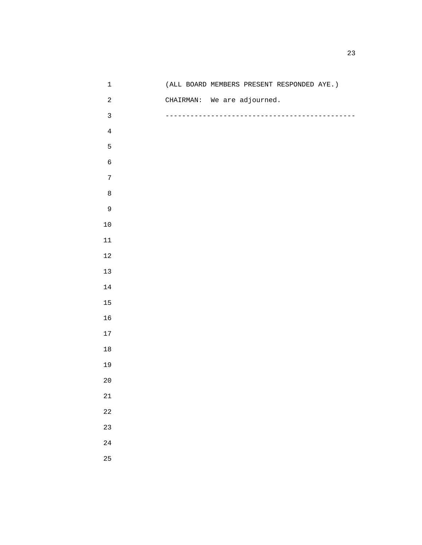| $\mathbf 1$      |  | (ALL BOARD MEMBERS PRESENT RESPONDED AYE.) |  |
|------------------|--|--------------------------------------------|--|
| $\sqrt{2}$       |  | CHAIRMAN: We are adjourned.                |  |
| $\mathbf{3}$     |  |                                            |  |
| $\bf 4$          |  |                                            |  |
| 5                |  |                                            |  |
| $\epsilon$       |  |                                            |  |
| $\boldsymbol{7}$ |  |                                            |  |
| $\,8\,$          |  |                                            |  |
| 9                |  |                                            |  |
| $10\,$           |  |                                            |  |
| $11\,$           |  |                                            |  |
| $12\,$           |  |                                            |  |
| 13               |  |                                            |  |
| $14\,$           |  |                                            |  |
| 15               |  |                                            |  |
| 16               |  |                                            |  |
| 17               |  |                                            |  |
| $18\,$           |  |                                            |  |
| 19               |  |                                            |  |
| $20$             |  |                                            |  |
| $21\,$           |  |                                            |  |
| $2\sqrt{2}$      |  |                                            |  |
| 23               |  |                                            |  |
| $2\sqrt{4}$      |  |                                            |  |
| 25               |  |                                            |  |